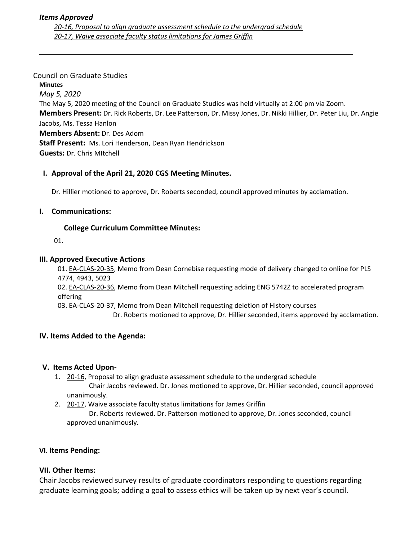#### Council on Graduate Studies

**Minutes** *May 5, 2020* The May 5, 2020 meeting of the Council on Graduate Studies was held virtually at 2:00 pm via Zoom. **Members Present:** Dr. Rick Roberts, Dr. Lee Patterson, Dr. Missy Jones, Dr. Nikki Hillier, Dr. Peter Liu, Dr. Angie Jacobs, Ms. Tessa Hanlon **Members Absent:** Dr. Des Adom **Staff Present:** Ms. Lori Henderson, Dean Ryan Hendrickson **Guests:** Dr. Chris MItchell

## **I. Approval of the April 21, [2020](https://castle.eiu.edu/~eiucgs/currentminutes/Minutes4-21-20.pdf) CGS Meeting Minutes.**

Dr. Hillier motioned to approve, Dr. Roberts seconded, council approved minutes by acclamation.

## **I. Communications:**

# **College Curriculum Committee Minutes:**

01.

## **III. Approved Executive Actions**

01. EA-[CLAS](http://castle.eiu.edu/eiucgs/exec-actions/EA-CLAS-20-35.pdf)-20-35, Memo from Dean Cornebise requesting mode of delivery changed to online for PLS 4774, 4943, 5023

02. EA-[CLAS](http://castle.eiu.edu/eiucgs/exec-actions/EA-CLAS-20-36.pdf)-20-36, Memo from Dean Mitchell requesting adding ENG 5742Z to accelerated program offering

03. EA‐[CLAS](http://castle.eiu.edu/eiucgs/exec-actions/EA-CLAS-20-37.pdf)‐20‐37, Memo from Dean Mitchell requesting deletion of History courses

Dr. Roberts motioned to approve, Dr. Hillier seconded, items approved by acclamation.

## **IV. Items Added to the Agenda:**

## **V. Items Acted Upon‐**

- 1. 20-[16,](https://castle.eiu.edu/eiucgs/currentagendaitems/agenda20-16.pdf) Proposal to align graduate assessment schedule to the undergrad schedule Chair Jacobs reviewed. Dr. Jones motioned to approve, Dr. Hillier seconded, council approved unanimously.
- 2. 20-[17,](https://castle.eiu.edu/eiucgs/currentagendaitems/agenda20-17.pdf) Waive associate faculty status limitations for James Griffin

 Dr. Roberts reviewed. Dr. Patterson motioned to approve, Dr. Jones seconded, council approved unanimously.

## **VI**. **Items Pending:**

## **VII. Other Items:**

Chair Jacobs reviewed survey results of graduate coordinators responding to questions regarding graduate learning goals; adding a goal to assess ethics will be taken up by next year's council.